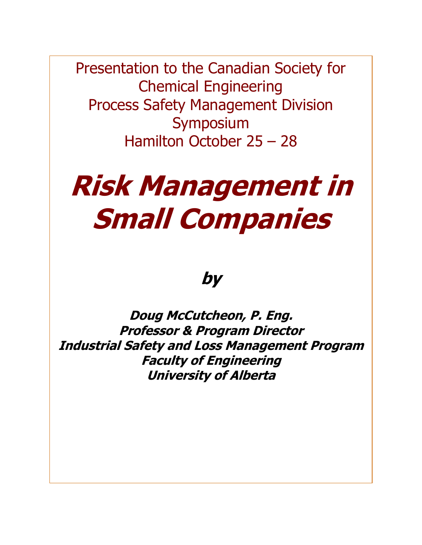Presentation to the Canadian Society for Chemical Engineering Process Safety Management Division Symposium Hamilton October 25 – 28

# **Risk Management in Small Companies**

## **by**

**Doug McCutcheon, P. Eng. Professor & Program Director Industrial Safety and Loss Management Program Faculty of Engineering University of Alberta**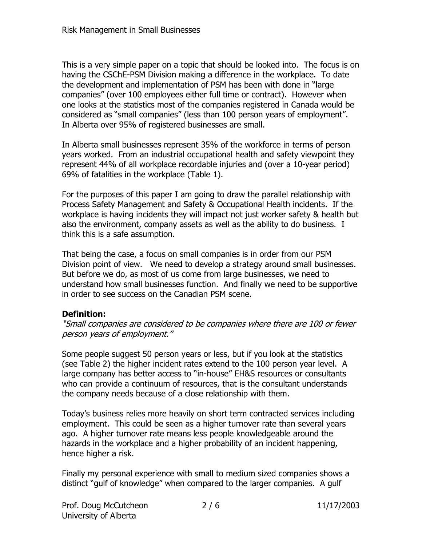This is a very simple paper on a topic that should be looked into. The focus is on having the CSChE-PSM Division making a difference in the workplace. To date the development and implementation of PSM has been with done in "large companies" (over 100 employees either full time or contract). However when one looks at the statistics most of the companies registered in Canada would be considered as "small companies" (less than 100 person years of employment". In Alberta over 95% of registered businesses are small.

In Alberta small businesses represent 35% of the workforce in terms of person years worked. From an industrial occupational health and safety viewpoint they represent 44% of all workplace recordable injuries and (over a 10-year period) 69% of fatalities in the workplace (Table 1).

For the purposes of this paper I am going to draw the parallel relationship with Process Safety Management and Safety & Occupational Health incidents. If the workplace is having incidents they will impact not just worker safety & health but also the environment, company assets as well as the ability to do business. I think this is a safe assumption.

That being the case, a focus on small companies is in order from our PSM Division point of view. We need to develop a strategy around small businesses. But before we do, as most of us come from large businesses, we need to understand how small businesses function. And finally we need to be supportive in order to see success on the Canadian PSM scene.

#### **Definition:**

"Small companies are considered to be companies where there are 100 or fewer person years of employment."

Some people suggest 50 person years or less, but if you look at the statistics (see Table 2) the higher incident rates extend to the 100 person year level. A large company has better access to "in-house" EH&S resources or consultants who can provide a continuum of resources, that is the consultant understands the company needs because of a close relationship with them.

Today's business relies more heavily on short term contracted services including employment. This could be seen as a higher turnover rate than several years ago. A higher turnover rate means less people knowledgeable around the hazards in the workplace and a higher probability of an incident happening, hence higher a risk.

Finally my personal experience with small to medium sized companies shows a distinct "gulf of knowledge" when compared to the larger companies. A gulf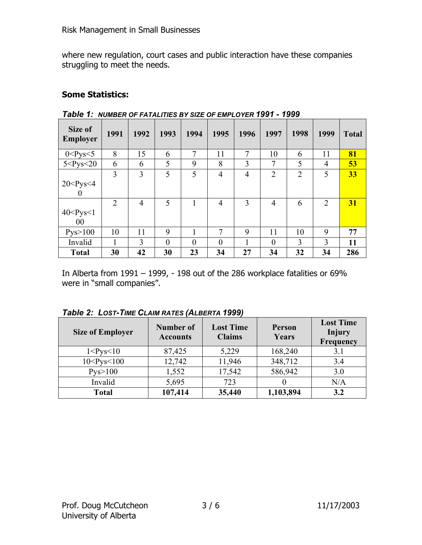where new regulation, court cases and public interaction have these companies struggling to meet the needs.

#### **Some Statistics:**

| Size of<br><b>Employer</b> | 1991           | 1992 | 1993           | 1994     | 1995           | 1996 | 1997           | 1998           | 1999 | <b>Total</b> |
|----------------------------|----------------|------|----------------|----------|----------------|------|----------------|----------------|------|--------------|
| 0 < Pys < 5                | 8              | 15   | 6              | 7        | 11             | 7    | 10             | 6              | 11   | 81           |
| 5 < Pys < 20               | 6              | 6    | 5              | 9        | 8              | 3    | 7              | 5              | 4    | 53           |
| 20 < Pys < 4               | 3              | 3    | 5              | 5        | $\overline{4}$ | 4    | $\overline{2}$ | $\overline{2}$ | 5    | 33           |
| $\theta$                   |                |      |                |          |                |      |                |                |      |              |
| 40 < Pys < 1<br>00         | $\overline{2}$ | 4    | 5              |          | $\overline{4}$ | 3    | $\overline{4}$ | 6              | 2    | 31           |
| Pys > 100                  | 10             | 11   | 9              |          | 7              | 9    | 11             | 10             | 9    | 77           |
| Invalid                    |                | 3    | $\overline{0}$ | $\theta$ | $\theta$       |      | $\theta$       | 3              | 3    | 11           |
| <b>Total</b>               | 30             | 42   | 30             | 23       | 34             | 27   | 34             | 32             | 34   | 286          |

*Table 1: NUMBER OF FATALITIES BY SIZE OF EMPLOYER 1991 - 1999* 

In Alberta from 1991 – 1999, - 198 out of the 286 workplace fatalities or 69% were in "small companies".

| <b>Size of Employer</b>  | Number of<br><b>Accounts</b> | <b>Lost Time</b><br><b>Claims</b> | Person<br>Years | <b>Lost Time</b><br><b>Injury</b><br>Frequency |
|--------------------------|------------------------------|-----------------------------------|-----------------|------------------------------------------------|
| 1 < P <sub>VS</sub> < 10 | 87,425                       | 5,229                             | 168,240         | 3.1                                            |
| 10 < Pys < 100           | 12,742                       | 11,946                            | 348,712         | 3.4                                            |
| Pys>100                  | 1,552                        | 17,542                            | 586,942         | 3.0                                            |
| Invalid                  | 5,695                        | 723                               |                 | N/A                                            |
| <b>Total</b>             | 107,414                      | 35,440                            | 1,103,894       | 3.2                                            |

*Table 2: LOST-TIME CLAIM RATES (ALBERTA 1999)*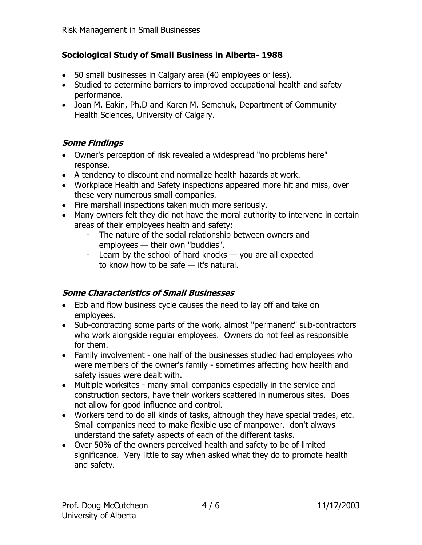#### **Sociological Study of Small Business in Alberta- 1988**

- 50 small businesses in Calgary area (40 employees or less).
- Studied to determine barriers to improved occupational health and safety performance.
- Joan M. Eakin, Ph.D and Karen M. Semchuk, Department of Community Health Sciences, University of Calgary.

### **Some Findings**

- Owner's perception of risk revealed a widespread "no problems here" response.
- A tendency to discount and normalize health hazards at work.
- Workplace Health and Safety inspections appeared more hit and miss, over these very numerous small companies.
- Fire marshall inspections taken much more seriously.
- Many owners felt they did not have the moral authority to intervene in certain areas of their employees health and safety:
	- The nature of the social relationship between owners and employees — their own "buddies".
	- Learn by the school of hard knocks you are all expected to know how to be safe — it's natural.

#### **Some Characteristics of Small Businesses**

- Ebb and flow business cycle causes the need to lay off and take on employees.
- Sub-contracting some parts of the work, almost "permanent" sub-contractors who work alongside regular employees. Owners do not feel as responsible for them.
- Family involvement one half of the businesses studied had employees who were members of the owner's family - sometimes affecting how health and safety issues were dealt with.
- Multiple worksites many small companies especially in the service and construction sectors, have their workers scattered in numerous sites. Does not allow for good influence and control.
- Workers tend to do all kinds of tasks, although they have special trades, etc. Small companies need to make flexible use of manpower. don't always understand the safety aspects of each of the different tasks.
- Over 50% of the owners perceived health and safety to be of limited significance. Very little to say when asked what they do to promote health and safety.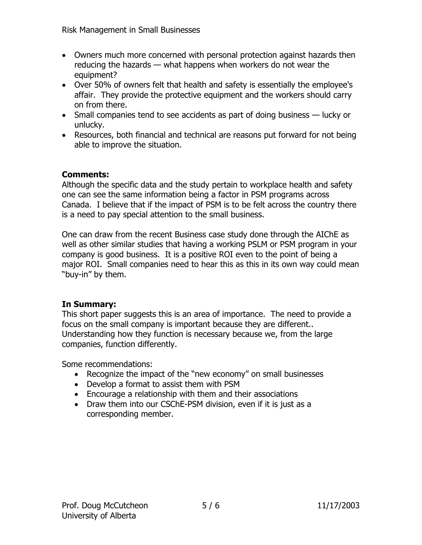- Owners much more concerned with personal protection against hazards then reducing the hazards — what happens when workers do not wear the equipment?
- Over 50% of owners felt that health and safety is essentially the employee's affair. They provide the protective equipment and the workers should carry on from there.
- Small companies tend to see accidents as part of doing business lucky or unlucky.
- Resources, both financial and technical are reasons put forward for not being able to improve the situation.

#### **Comments:**

Although the specific data and the study pertain to workplace health and safety one can see the same information being a factor in PSM programs across Canada. I believe that if the impact of PSM is to be felt across the country there is a need to pay special attention to the small business.

One can draw from the recent Business case study done through the AIChE as well as other similar studies that having a working PSLM or PSM program in your company is good business. It is a positive ROI even to the point of being a major ROI. Small companies need to hear this as this in its own way could mean "buy-in" by them.

#### **In Summary:**

This short paper suggests this is an area of importance. The need to provide a focus on the small company is important because they are different.. Understanding how they function is necessary because we, from the large companies, function differently.

Some recommendations:

- Recognize the impact of the "new economy" on small businesses
- Develop a format to assist them with PSM
- Encourage a relationship with them and their associations
- Draw them into our CSChE-PSM division, even if it is just as a corresponding member.